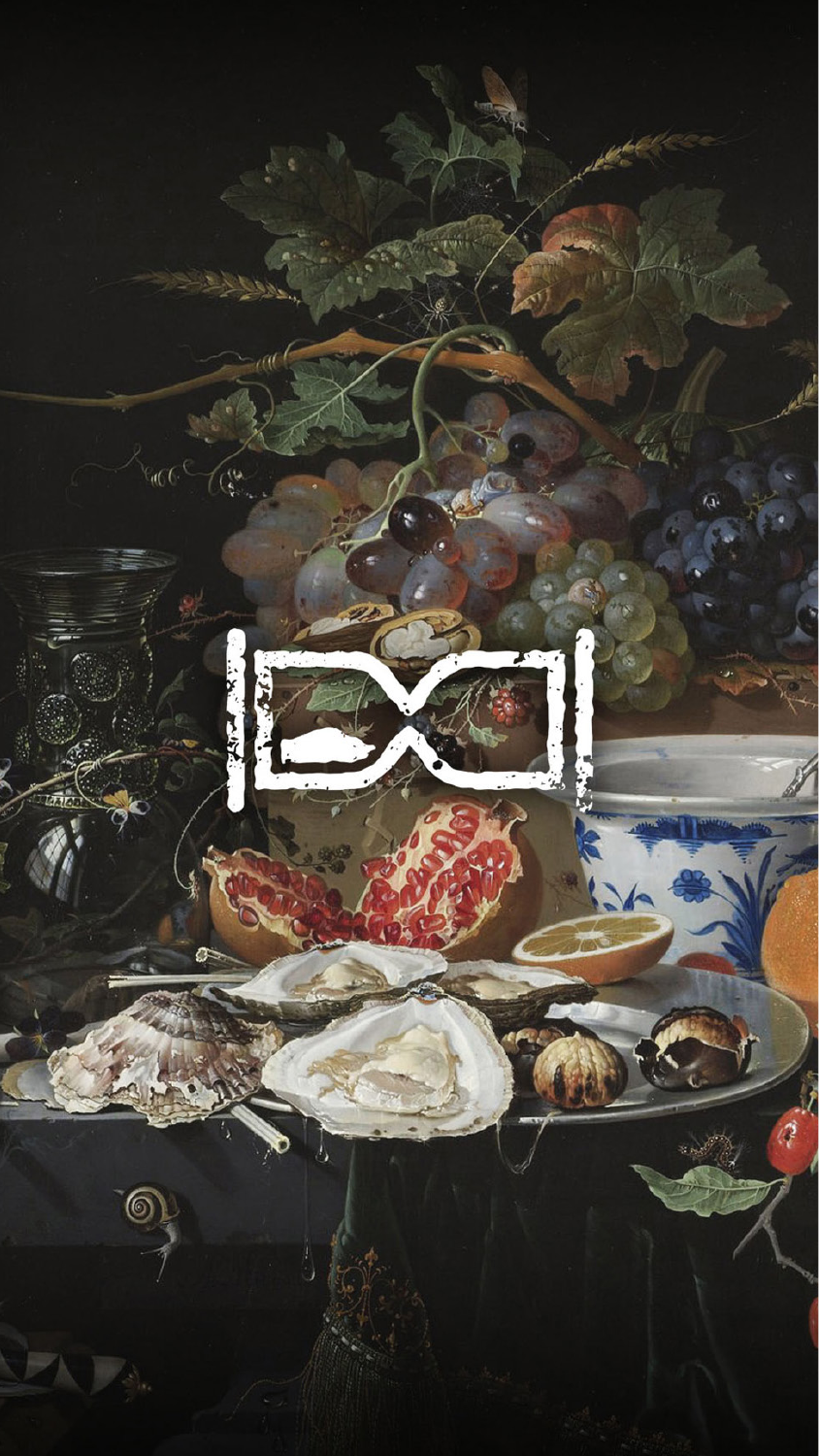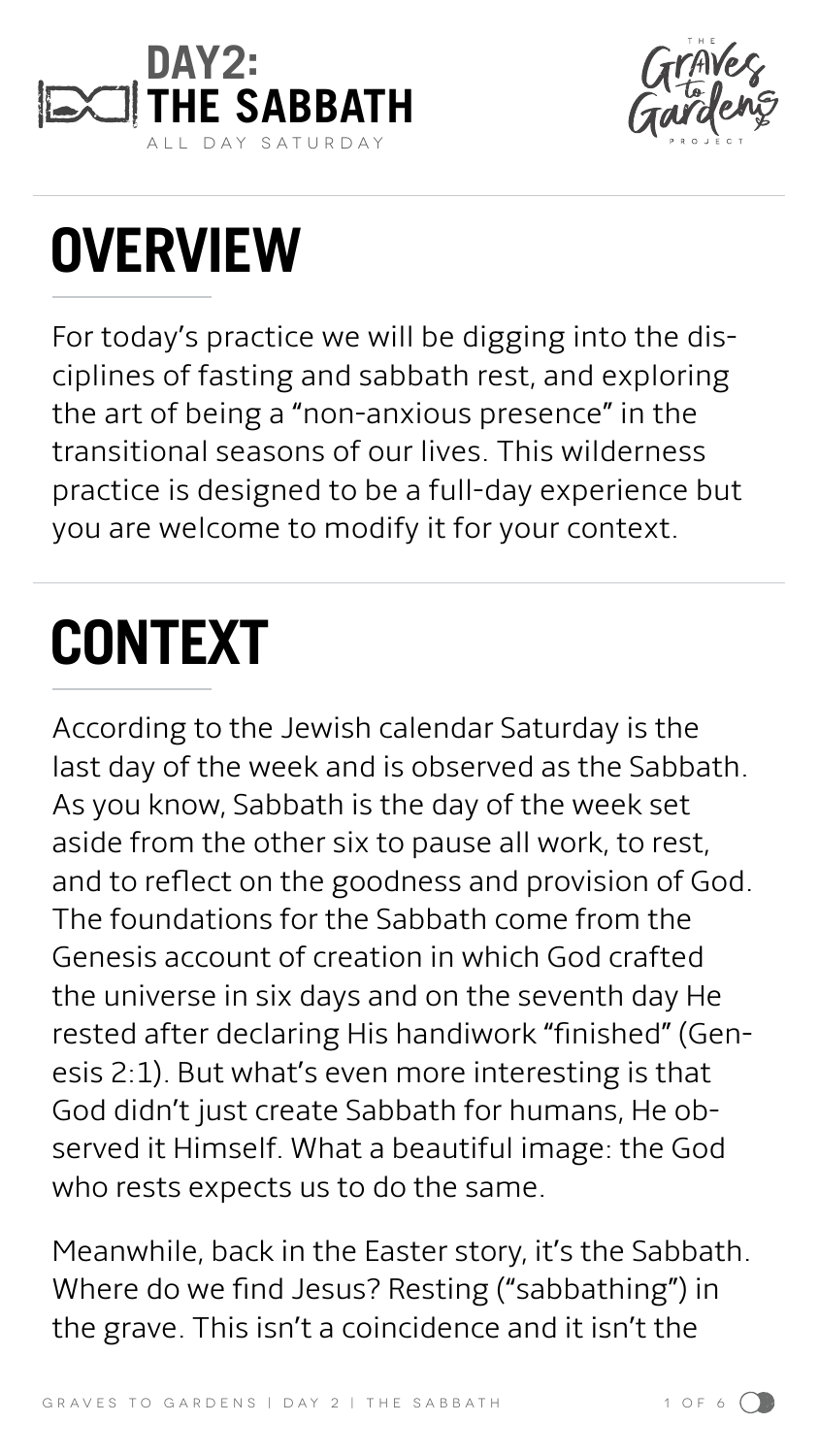



### **OVERVIEW**

# **CONTEXT**

For today's practice we will be digging into the disciplines of fasting and sabbath rest, and exploring the art of being a "non-anxious presence" in the transitional seasons of our lives. This wilderness practice is designed to be a full-day experience but you are welcome to modify it for your context.

According to the Jewish calendar Saturday is the last day of the week and is observed as the Sabbath. As you know, Sabbath is the day of the week set aside from the other six to pause all work, to rest, and to reflect on the goodness and provision of God. The foundations for the Sabbath come from the Genesis account of creation in which God crafted the universe in six days and on the seventh day He rested after declaring His handiwork "fnished" (Genesis 2:1). But what's even more interesting is that God didn't just create Sabbath for humans, He observed it Himself. What a beautiful image: the God who rests expects us to do the same.

Meanwhile, back in the Easter story, it's the Sabbath. Where do we find Jesus? Resting ("sabbathing") in the grave. This isn't a coincidence and it isn't the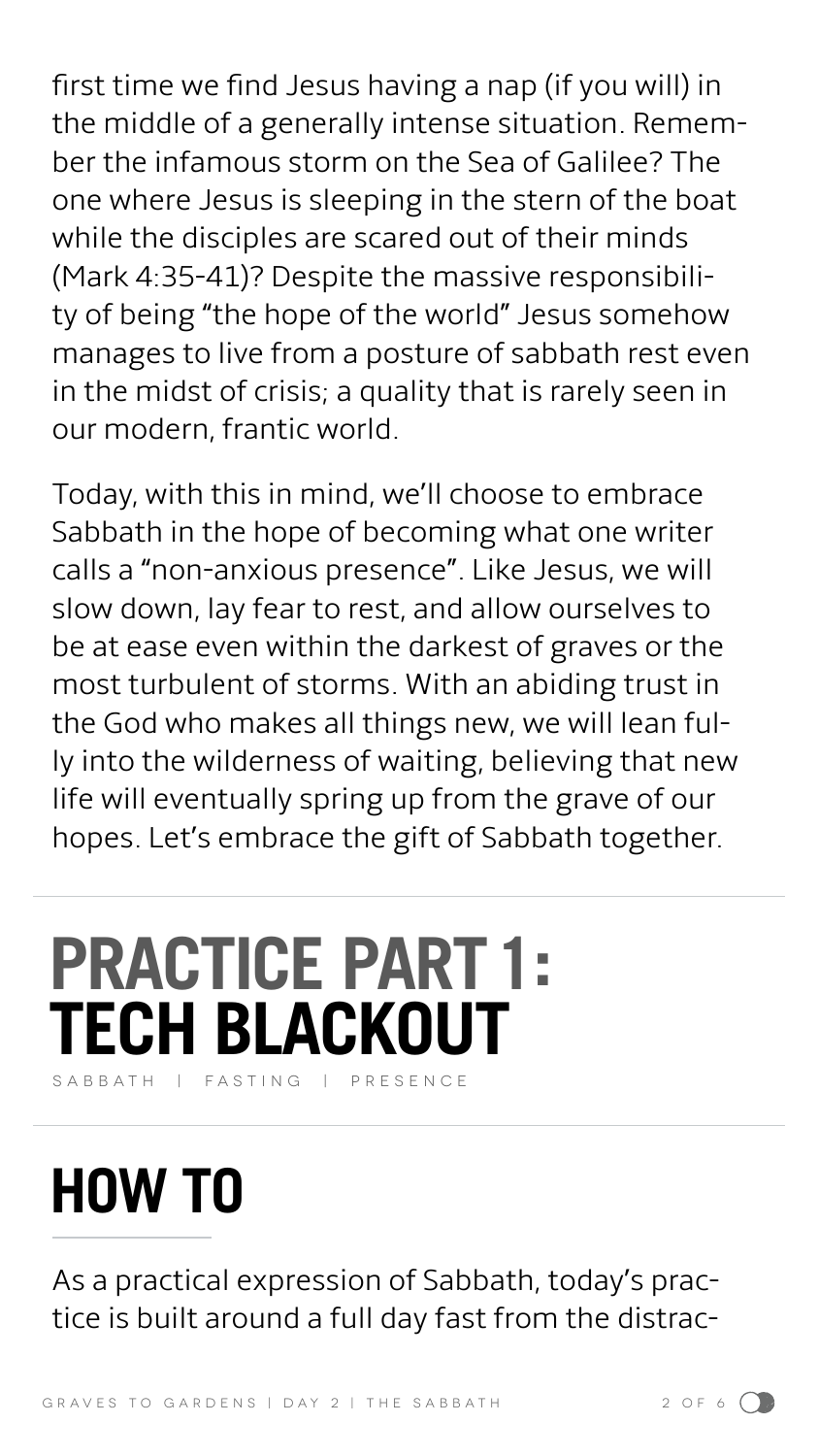GRAVES TO GARDENS | DAY 2 | THE SABBATH 2 OF 6

frst time we fnd Jesus having a nap (if you will) in the middle of a generally intense situation. Remember the infamous storm on the Sea of Galilee? The one where Jesus is sleeping in the stern of the boat while the disciples are scared out of their minds (Mark 4:35-41)? Despite the massive responsibility of being "the hope of the world" Jesus somehow manages to live from a posture of sabbath rest even in the midst of crisis; a quality that is rarely seen in our modern, frantic world.

## **ACTICE PART TECH BLACKOUT**

Today, with this in mind, we'll choose to embrace Sabbath in the hope of becoming what one writer calls a "non-anxious presence". Like Jesus, we will slow down, lay fear to rest, and allow ourselves to be at ease even within the darkest of graves or the most turbulent of storms. With an abiding trust in the God who makes all things new, we will lean fully into the wilderness of waiting, believing that new life will eventually spring up from the grave of our hopes. Let's embrace the gift of Sabbath together.

#### SABBATH | FASTING | PRESENCE

### **HOW TO**

As a practical expression of Sabbath, today's practice is built around a full day fast from the distrac-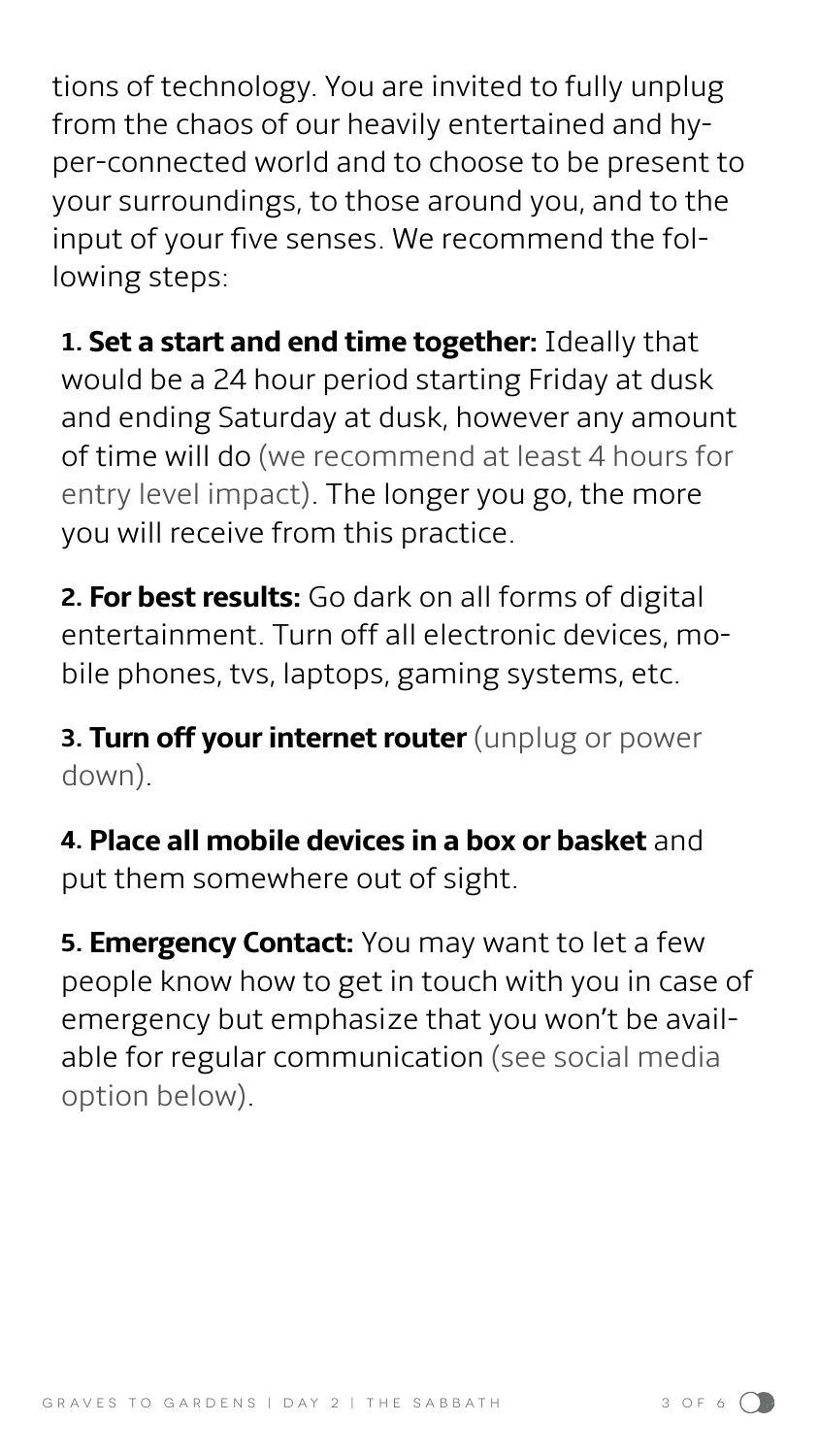GRAVES TO GARDENS | DAY 2 | THE SABBATH 3 OF 6



tions of technology. You are invited to fully unplug from the chaos of our heavily entertained and hyper-connected world and to choose to be present to your surroundings, to those around you, and to the input of your five senses. We recommend the following steps:

**1. Set a start and end time together:** Ideally that would be a 24 hour period starting Friday at dusk and ending Saturday at dusk, however any amount of time will do (we recommend at least 4 hours for entry level impact). The longer you go, the more you will receive from this practice.

**2. For best results:** Go dark on all forms of digital entertainment. Turn off all electronic devices, mobile phones, tvs, laptops, gaming systems, etc.

**3. Turn off your internet router** (unplug or power down).

**4. Place all mobile devices in a box or basket** and put them somewhere out of sight.

**5. Emergency Contact:** You may want to let a few people know how to get in touch with you in case of emergency but emphasize that you won't be available for regular communication (see social media option below).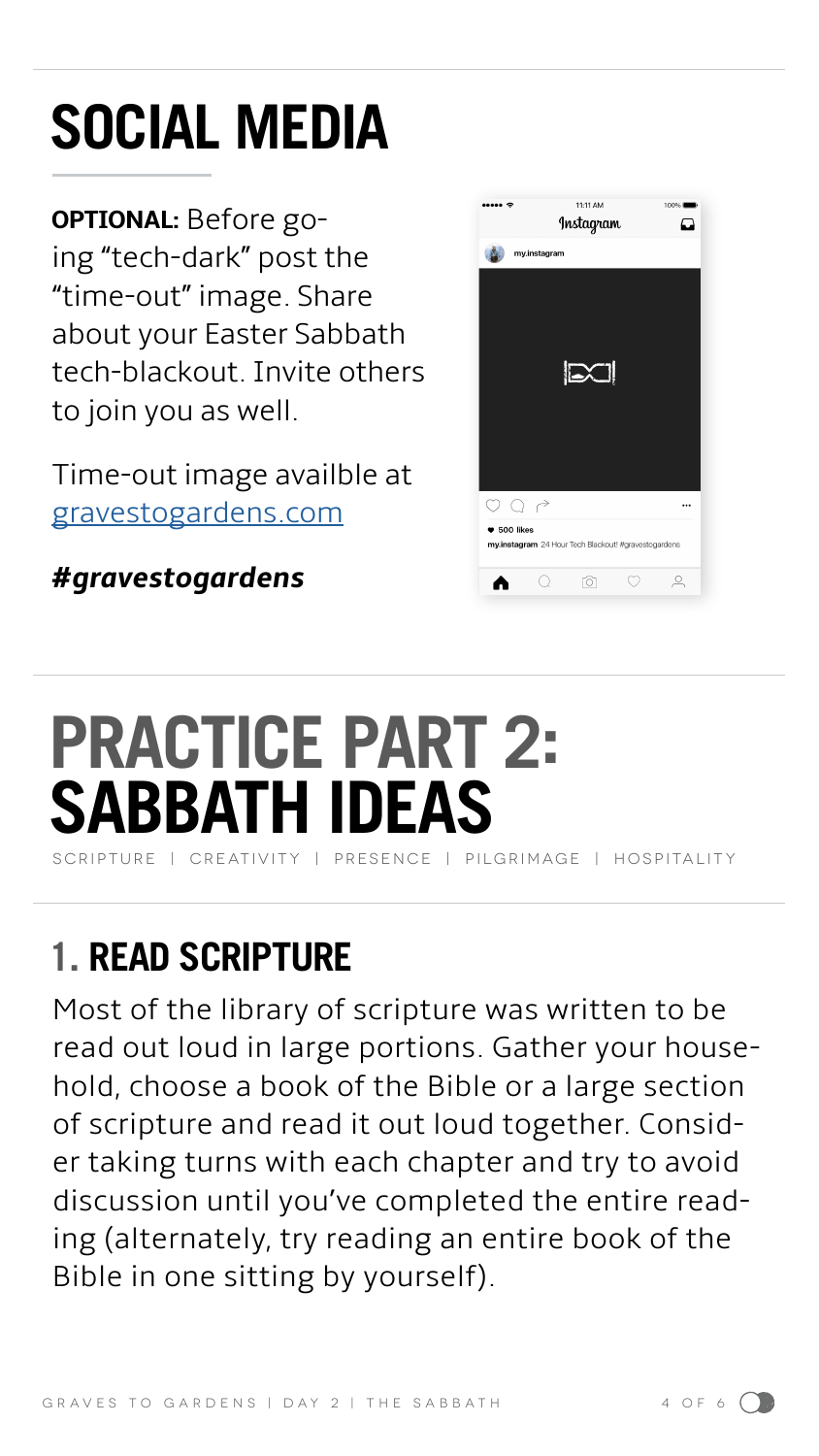**OPTIONAL:** Before going "tech-dark" post the "time-out" image. Share about your Easter Sabbath tech-blackout. Invite others to join you as well.

Time-out image availble at gravestogardens.com

*#gravestogardens*



# **SOCIAL MEDIA**

# **PRACTICE PART 2: SABBATH IDEAS**

SCRIPTURE | CREATIVITY | PRESENCE | PILGRIMAGE | HOSPITALITY

### **1. READ SCRIPTURE**

Most of the library of scripture was written to be read out loud in large portions. Gather your household, choose a book of the Bible or a large section of scripture and read it out loud together. Consider taking turns with each chapter and try to avoid discussion until you've completed the entire reading (alternately, try reading an entire book of the Bible in one sitting by yourself).

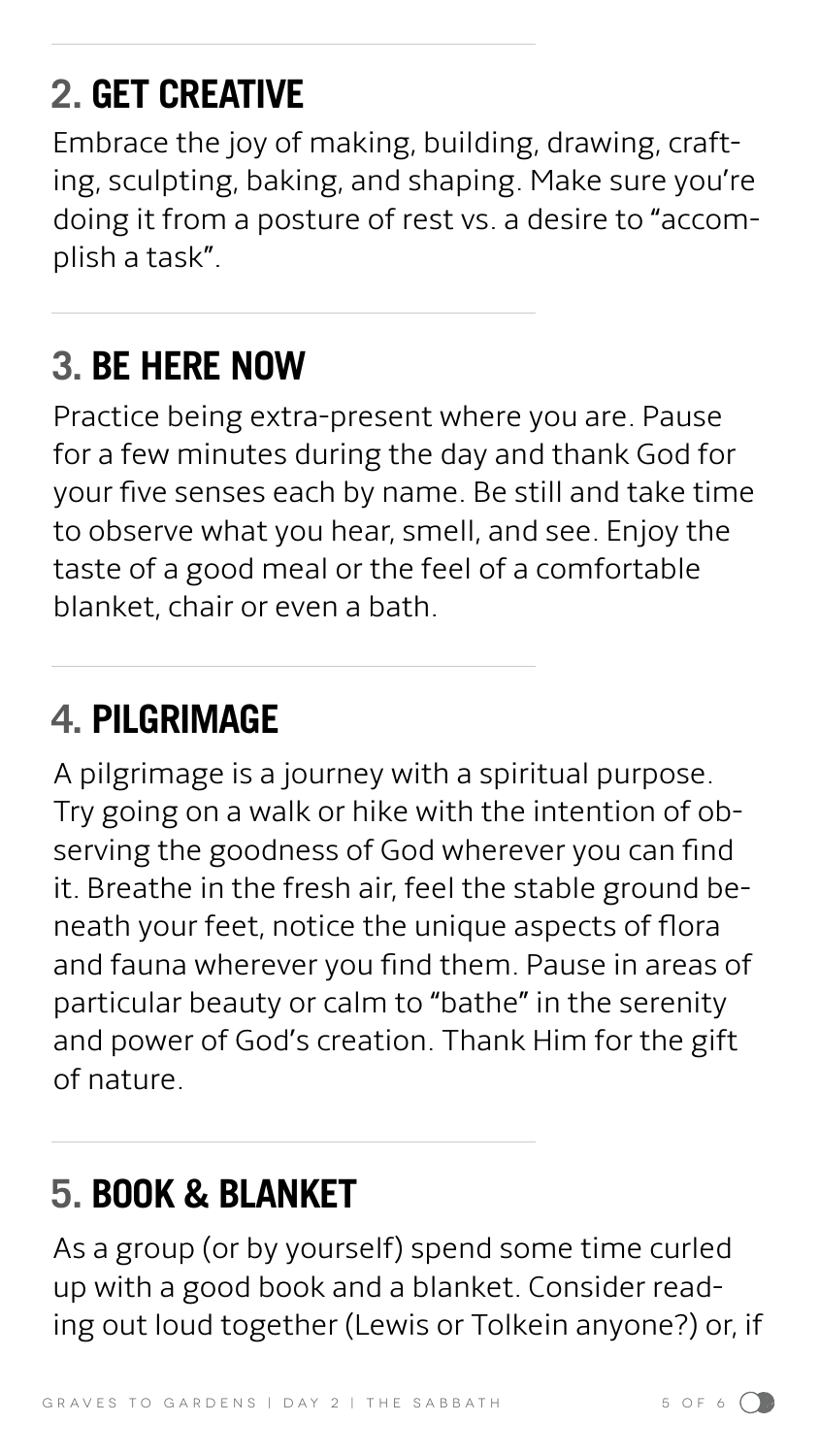### **2. GET CREATIVE**

Embrace the joy of making, building, drawing, crafting, sculpting, baking, and shaping. Make sure you're doing it from a posture of rest vs. a desire to "accomplish a task".

#### **5. BOOK & BLANKET**

As a group (or by yourself) spend some time curled up with a good book and a blanket. Consider reading out loud together (Lewis or Tolkein anyone?) or, if

#### **4. PILGRIMAGE**

A pilgrimage is a journey with a spiritual purpose. Try going on a walk or hike with the intention of observing the goodness of God wherever you can find it. Breathe in the fresh air, feel the stable ground beneath your feet, notice the unique aspects of flora and fauna wherever you find them. Pause in areas of particular beauty or calm to "bathe" in the serenity and power of God's creation. Thank Him for the gift of nature.

#### **3. BE HERE NOW**

Practice being extra-present where you are. Pause for a few minutes during the day and thank God for your five senses each by name. Be still and take time to observe what you hear, smell, and see. Enjoy the taste of a good meal or the feel of a comfortable blanket, chair or even a bath.